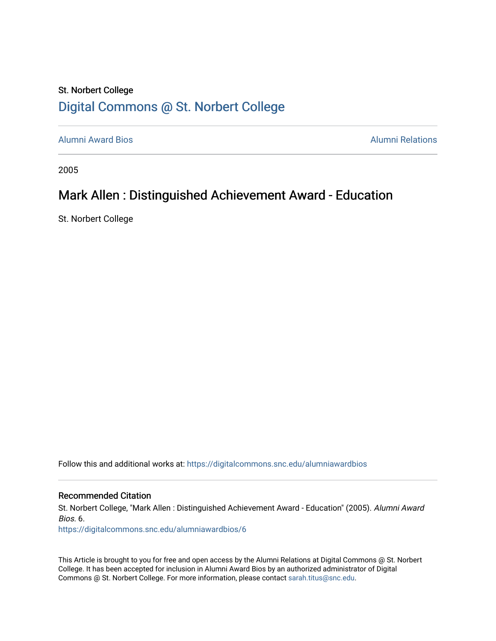## St. Norbert College [Digital Commons @ St. Norbert College](https://digitalcommons.snc.edu/)

[Alumni Award Bios](https://digitalcommons.snc.edu/alumniawardbios) [Alumni Relations](https://digitalcommons.snc.edu/alumni) 

2005

## Mark Allen : Distinguished Achievement Award - Education

St. Norbert College

Follow this and additional works at: [https://digitalcommons.snc.edu/alumniawardbios](https://digitalcommons.snc.edu/alumniawardbios?utm_source=digitalcommons.snc.edu%2Falumniawardbios%2F6&utm_medium=PDF&utm_campaign=PDFCoverPages)

Recommended Citation

St. Norbert College, "Mark Allen : Distinguished Achievement Award - Education" (2005). Alumni Award Bios. 6.

[https://digitalcommons.snc.edu/alumniawardbios/6](https://digitalcommons.snc.edu/alumniawardbios/6?utm_source=digitalcommons.snc.edu%2Falumniawardbios%2F6&utm_medium=PDF&utm_campaign=PDFCoverPages)

This Article is brought to you for free and open access by the Alumni Relations at Digital Commons @ St. Norbert College. It has been accepted for inclusion in Alumni Award Bios by an authorized administrator of Digital Commons @ St. Norbert College. For more information, please contact [sarah.titus@snc.edu.](mailto:sarah.titus@snc.edu)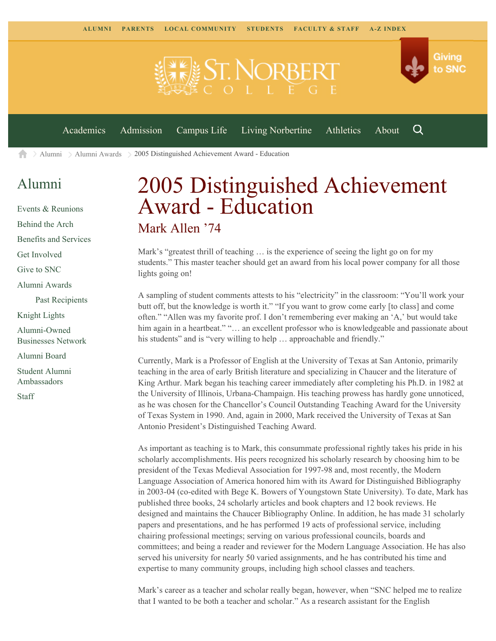

 $\geq$  [Alumni](https://www.snc.edu/alumni/)  $\geq$  [Alumni Awards](https://www.snc.edu/alumni/awards/)  $\geq$  2005 Distinguished Achievement Award - Education A

## [Alumni](https://www.snc.edu/alumni/index.html)

[Events & Reunions](https://www.snc.edu/alumni/event/index.html) [Behind the Arch](https://www.snc.edu/alumni/event/behindthearch/) [Benefits and Services](https://www.snc.edu/alumni/benefits.html) [Get Involved](https://www.snc.edu/alumni/getinvolved.html) [Give to SNC](http://giving.snc.edu/) [Alumni Awards](https://www.snc.edu/alumni/awards/index.html) [Past Recipients](https://www.snc.edu/alumni/awards/recipients.html) [Knight Lights](https://www.snc.edu/alumni/knightlights/index.html) [Alumni-Owned](https://www.snc.edu/alumni/directory/index.html) [Businesses Network](https://www.snc.edu/alumni/directory/index.html) [Alumni Board](https://www.snc.edu/alumni/alumniboard.html) [Student Alumni](https://www.snc.edu/alumni/saa.html) [Ambassadors](https://www.snc.edu/alumni/saa.html) [Staff](https://www.snc.edu/alumni/contactus.html)

## 2005 Distinguished Achievement Award - Education Mark Allen '74

Mark's "greatest thrill of teaching … is the experience of seeing the light go on for my students." This master teacher should get an award from his local power company for all those lights going on!

A sampling of student comments attests to his "electricity" in the classroom: "You'll work your butt off, but the knowledge is worth it." "If you want to grow come early [to class] and come often." "Allen was my favorite prof. I don't remembering ever making an 'A,' but would take him again in a heartbeat." "... an excellent professor who is knowledgeable and passionate about his students" and is "very willing to help ... approachable and friendly."

Currently, Mark is a Professor of English at the University of Texas at San Antonio, primarily teaching in the area of early British literature and specializing in Chaucer and the literature of King Arthur. Mark began his teaching career immediately after completing his Ph.D. in 1982 at the University of Illinois, Urbana-Champaign. His teaching prowess has hardly gone unnoticed, as he was chosen for the Chancellor's Council Outstanding Teaching Award for the University of Texas System in 1990. And, again in 2000, Mark received the University of Texas at San Antonio President's Distinguished Teaching Award.

As important as teaching is to Mark, this consummate professional rightly takes his pride in his scholarly accomplishments. His peers recognized his scholarly research by choosing him to be president of the Texas Medieval Association for 1997-98 and, most recently, the Modern Language Association of America honored him with its Award for Distinguished Bibliography in 2003-04 (co-edited with Bege K. Bowers of Youngstown State University). To date, Mark has published three books, 24 scholarly articles and book chapters and 12 book reviews. He designed and maintains the Chaucer Bibliography Online. In addition, he has made 31 scholarly papers and presentations, and he has performed 19 acts of professional service, including chairing professional meetings; serving on various professional councils, boards and committees; and being a reader and reviewer for the Modern Language Association. He has also served his university for nearly 50 varied assignments, and he has contributed his time and expertise to many community groups, including high school classes and teachers.

Mark's career as a teacher and scholar really began, however, when "SNC helped me to realize that I wanted to be both a teacher and scholar." As a research assistant for the English